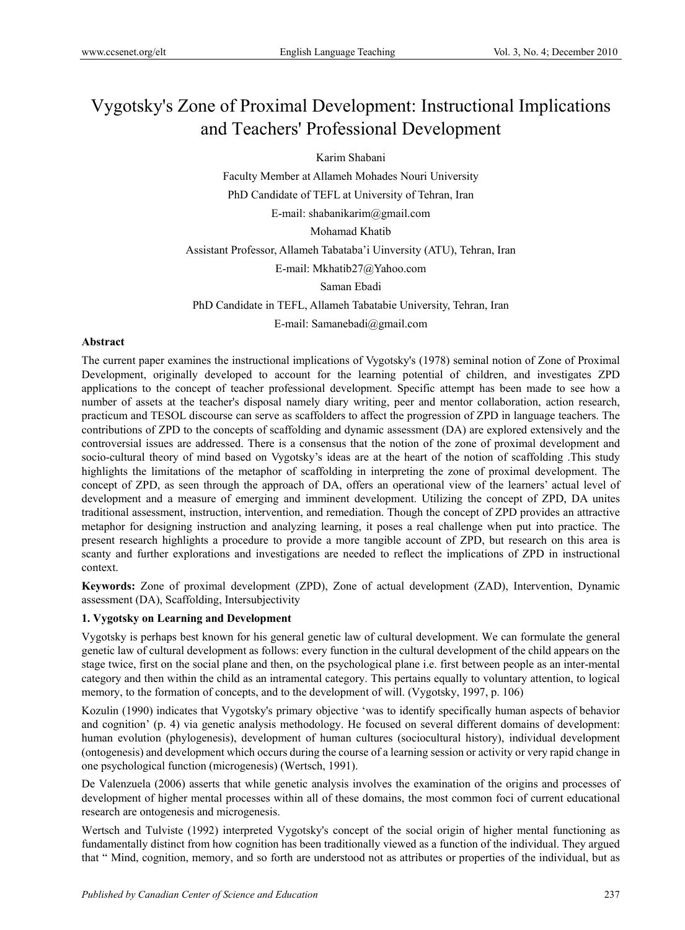# Vygotsky's Zone of Proximal Development: Instructional Implications and Teachers' Professional Development

Karim Shabani

Faculty Member at Allameh Mohades Nouri University PhD Candidate of TEFL at University of Tehran, Iran

E-mail: shabanikarim@gmail.com

Mohamad Khatib

Assistant Professor, Allameh Tabataba'i Uinversity (ATU), Tehran, Iran

E-mail: Mkhatib27@Yahoo.com

Saman Ebadi

PhD Candidate in TEFL, Allameh Tabatabie University, Tehran, Iran

E-mail: Samanebadi@gmail.com

# **Abstract**

The current paper examines the instructional implications of Vygotsky's (1978) seminal notion of Zone of Proximal Development, originally developed to account for the learning potential of children, and investigates ZPD applications to the concept of teacher professional development. Specific attempt has been made to see how a number of assets at the teacher's disposal namely diary writing, peer and mentor collaboration, action research, practicum and TESOL discourse can serve as scaffolders to affect the progression of ZPD in language teachers. The contributions of ZPD to the concepts of scaffolding and dynamic assessment (DA) are explored extensively and the controversial issues are addressed. There is a consensus that the notion of the zone of proximal development and socio-cultural theory of mind based on Vygotsky's ideas are at the heart of the notion of scaffolding .This study highlights the limitations of the metaphor of scaffolding in interpreting the zone of proximal development. The concept of ZPD, as seen through the approach of DA, offers an operational view of the learners' actual level of development and a measure of emerging and imminent development. Utilizing the concept of ZPD, DA unites traditional assessment, instruction, intervention, and remediation. Though the concept of ZPD provides an attractive metaphor for designing instruction and analyzing learning, it poses a real challenge when put into practice. The present research highlights a procedure to provide a more tangible account of ZPD, but research on this area is scanty and further explorations and investigations are needed to reflect the implications of ZPD in instructional context.

**Keywords:** Zone of proximal development (ZPD), Zone of actual development (ZAD), Intervention, Dynamic assessment (DA), Scaffolding, Intersubjectivity

# **1. Vygotsky on Learning and Development**

Vygotsky is perhaps best known for his general genetic law of cultural development. We can formulate the general genetic law of cultural development as follows: every function in the cultural development of the child appears on the stage twice, first on the social plane and then, on the psychological plane i.e. first between people as an inter-mental category and then within the child as an intramental category. This pertains equally to voluntary attention, to logical memory, to the formation of concepts, and to the development of will. (Vygotsky, 1997, p. 106)

Kozulin (1990) indicates that Vygotsky's primary objective 'was to identify specifically human aspects of behavior and cognition' (p. 4) via genetic analysis methodology. He focused on several different domains of development: human evolution (phylogenesis), development of human cultures (sociocultural history), individual development (ontogenesis) and development which occurs during the course of a learning session or activity or very rapid change in one psychological function (microgenesis) (Wertsch, 1991).

De Valenzuela (2006) asserts that while genetic analysis involves the examination of the origins and processes of development of higher mental processes within all of these domains, the most common foci of current educational research are ontogenesis and microgenesis.

Wertsch and Tulviste (1992) interpreted Vygotsky's concept of the social origin of higher mental functioning as fundamentally distinct from how cognition has been traditionally viewed as a function of the individual. They argued that " Mind, cognition, memory, and so forth are understood not as attributes or properties of the individual, but as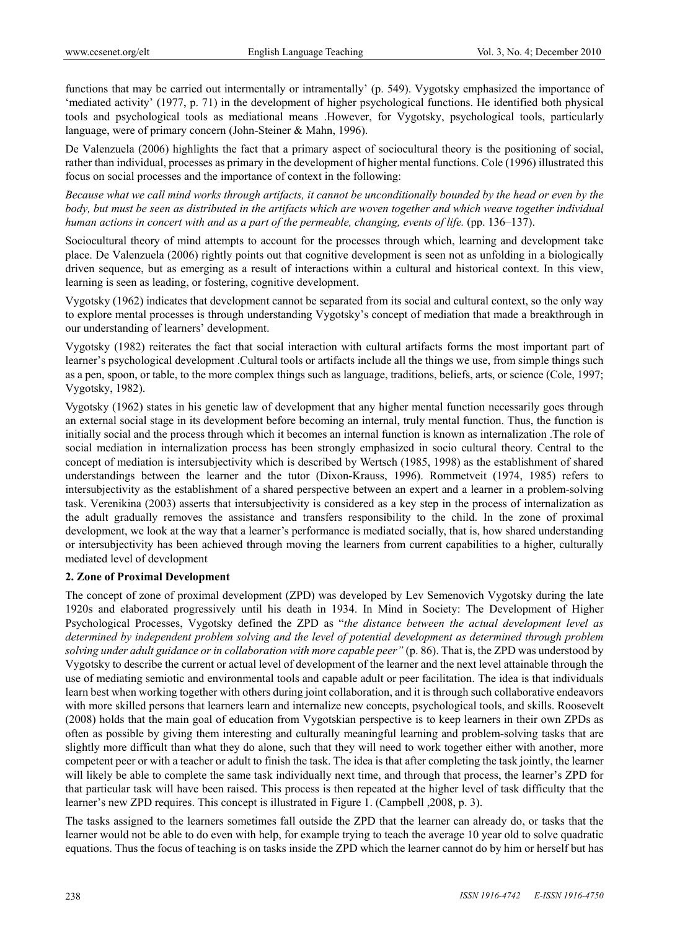functions that may be carried out intermentally or intramentally' (p. 549). Vygotsky emphasized the importance of 'mediated activity' (1977, p. 71) in the development of higher psychological functions. He identified both physical tools and psychological tools as mediational means .However, for Vygotsky, psychological tools, particularly language, were of primary concern (John-Steiner & Mahn, 1996).

De Valenzuela (2006) highlights the fact that a primary aspect of sociocultural theory is the positioning of social, rather than individual, processes as primary in the development of higher mental functions. Cole (1996) illustrated this focus on social processes and the importance of context in the following:

*Because what we call mind works through artifacts, it cannot be unconditionally bounded by the head or even by the body, but must be seen as distributed in the artifacts which are woven together and which weave together individual human actions in concert with and as a part of the permeable, changing, events of life.* (pp. 136–137).

Sociocultural theory of mind attempts to account for the processes through which, learning and development take place. De Valenzuela (2006) rightly points out that cognitive development is seen not as unfolding in a biologically driven sequence, but as emerging as a result of interactions within a cultural and historical context. In this view, learning is seen as leading, or fostering, cognitive development.

Vygotsky (1962) indicates that development cannot be separated from its social and cultural context, so the only way to explore mental processes is through understanding Vygotsky's concept of mediation that made a breakthrough in our understanding of learners' development.

Vygotsky (1982) reiterates the fact that social interaction with cultural artifacts forms the most important part of learner's psychological development .Cultural tools or artifacts include all the things we use, from simple things such as a pen, spoon, or table, to the more complex things such as language, traditions, beliefs, arts, or science (Cole, 1997; Vygotsky, 1982).

Vygotsky (1962) states in his genetic law of development that any higher mental function necessarily goes through an external social stage in its development before becoming an internal, truly mental function. Thus, the function is initially social and the process through which it becomes an internal function is known as internalization .The role of social mediation in internalization process has been strongly emphasized in socio cultural theory. Central to the concept of mediation is intersubjectivity which is described by Wertsch (1985, 1998) as the establishment of shared understandings between the learner and the tutor (Dixon-Krauss, 1996). Rommetveit (1974, 1985) refers to intersubjectivity as the establishment of a shared perspective between an expert and a learner in a problem-solving task. Verenikina (2003) asserts that intersubjectivity is considered as a key step in the process of internalization as the adult gradually removes the assistance and transfers responsibility to the child. In the zone of proximal development, we look at the way that a learner's performance is mediated socially, that is, how shared understanding or intersubjectivity has been achieved through moving the learners from current capabilities to a higher, culturally mediated level of development

# **2. Zone of Proximal Development**

The concept of zone of proximal development (ZPD) was developed by Lev Semenovich Vygotsky during the late 1920s and elaborated progressively until his death in 1934. In Mind in Society: The Development of Higher Psychological Processes, Vygotsky defined the ZPD as "*the distance between the actual development level as determined by independent problem solving and the level of potential development as determined through problem solving under adult guidance or in collaboration with more capable peer"* (p. 86). That is, the ZPD was understood by Vygotsky to describe the current or actual level of development of the learner and the next level attainable through the use of mediating semiotic and environmental tools and capable adult or peer facilitation. The idea is that individuals learn best when working together with others during joint collaboration, and it is through such collaborative endeavors with more skilled persons that learners learn and internalize new concepts, psychological tools, and skills. Roosevelt (2008) holds that the main goal of education from Vygotskian perspective is to keep learners in their own ZPDs as often as possible by giving them interesting and culturally meaningful learning and problem-solving tasks that are slightly more difficult than what they do alone, such that they will need to work together either with another, more competent peer or with a teacher or adult to finish the task. The idea is that after completing the task jointly, the learner will likely be able to complete the same task individually next time, and through that process, the learner's ZPD for that particular task will have been raised. This process is then repeated at the higher level of task difficulty that the learner's new ZPD requires. This concept is illustrated in Figure 1. (Campbell ,2008, p. 3).

The tasks assigned to the learners sometimes fall outside the ZPD that the learner can already do, or tasks that the learner would not be able to do even with help, for example trying to teach the average 10 year old to solve quadratic equations. Thus the focus of teaching is on tasks inside the ZPD which the learner cannot do by him or herself but has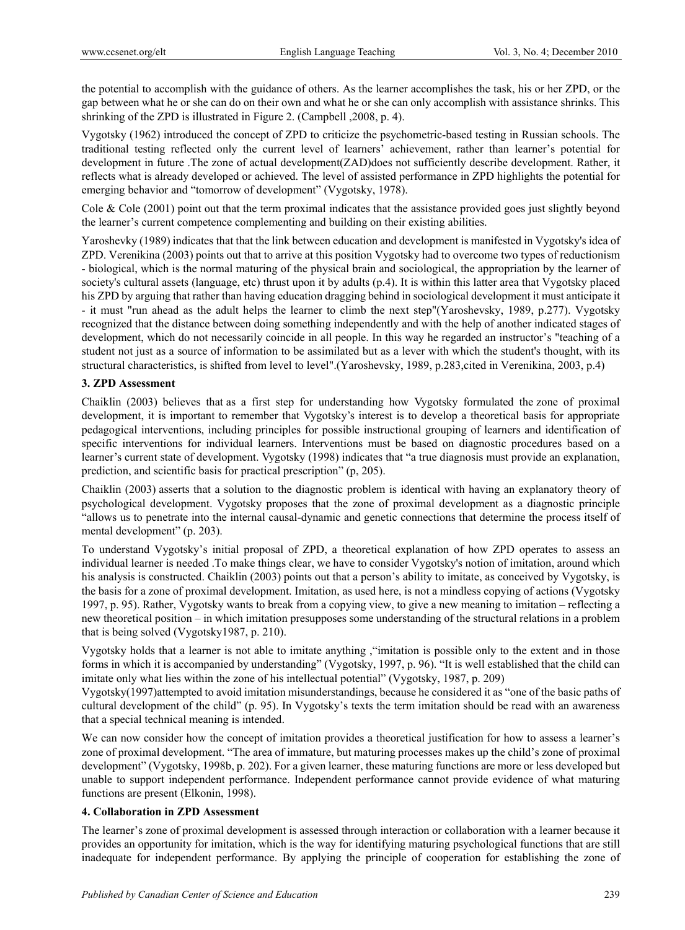the potential to accomplish with the guidance of others. As the learner accomplishes the task, his or her ZPD, or the gap between what he or she can do on their own and what he or she can only accomplish with assistance shrinks. This shrinking of the ZPD is illustrated in Figure 2. (Campbell ,2008, p. 4).

Vygotsky (1962) introduced the concept of ZPD to criticize the psychometric-based testing in Russian schools. The traditional testing reflected only the current level of learners' achievement, rather than learner's potential for development in future .The zone of actual development(ZAD)does not sufficiently describe development. Rather, it reflects what is already developed or achieved. The level of assisted performance in ZPD highlights the potential for emerging behavior and "tomorrow of development" (Vygotsky, 1978).

Cole  $\&$  Cole (2001) point out that the term proximal indicates that the assistance provided goes just slightly beyond the learner's current competence complementing and building on their existing abilities.

Yaroshevky (1989) indicates that that the link between education and development is manifested in Vygotsky's idea of ZPD. Verenikina (2003) points out that to arrive at this position Vygotsky had to overcome two types of reductionism - biological, which is the normal maturing of the physical brain and sociological, the appropriation by the learner of society's cultural assets (language, etc) thrust upon it by adults (p.4). It is within this latter area that Vygotsky placed his ZPD by arguing that rather than having education dragging behind in sociological development it must anticipate it - it must "run ahead as the adult helps the learner to climb the next step"(Yaroshevsky, 1989, p.277). Vygotsky recognized that the distance between doing something independently and with the help of another indicated stages of development, which do not necessarily coincide in all people. In this way he regarded an instructor's "teaching of a student not just as a source of information to be assimilated but as a lever with which the student's thought, with its structural characteristics, is shifted from level to level".(Yaroshevsky, 1989, p.283,cited in Verenikina, 2003, p.4)

# **3. ZPD Assessment**

Chaiklin (2003) believes that as a first step for understanding how Vygotsky formulated the zone of proximal development, it is important to remember that Vygotsky's interest is to develop a theoretical basis for appropriate pedagogical interventions, including principles for possible instructional grouping of learners and identification of specific interventions for individual learners. Interventions must be based on diagnostic procedures based on a learner's current state of development. Vygotsky (1998) indicates that "a true diagnosis must provide an explanation, prediction, and scientific basis for practical prescription" (p, 205).

Chaiklin (2003) asserts that a solution to the diagnostic problem is identical with having an explanatory theory of psychological development. Vygotsky proposes that the zone of proximal development as a diagnostic principle "allows us to penetrate into the internal causal-dynamic and genetic connections that determine the process itself of mental development" (p. 203).

To understand Vygotsky's initial proposal of ZPD, a theoretical explanation of how ZPD operates to assess an individual learner is needed .To make things clear, we have to consider Vygotsky's notion of imitation, around which his analysis is constructed. Chaiklin (2003) points out that a person's ability to imitate, as conceived by Vygotsky, is the basis for a zone of proximal development. Imitation, as used here, is not a mindless copying of actions (Vygotsky 1997, p. 95). Rather, Vygotsky wants to break from a copying view, to give a new meaning to imitation – reflecting a new theoretical position – in which imitation presupposes some understanding of the structural relations in a problem that is being solved (Vygotsky1987, p. 210).

Vygotsky holds that a learner is not able to imitate anything ,"imitation is possible only to the extent and in those forms in which it is accompanied by understanding" (Vygotsky, 1997, p. 96). "It is well established that the child can imitate only what lies within the zone of his intellectual potential" (Vygotsky, 1987, p. 209)

Vygotsky(1997)attempted to avoid imitation misunderstandings, because he considered it as "one of the basic paths of cultural development of the child" (p. 95). In Vygotsky's texts the term imitation should be read with an awareness that a special technical meaning is intended.

We can now consider how the concept of imitation provides a theoretical justification for how to assess a learner's zone of proximal development. "The area of immature, but maturing processes makes up the child's zone of proximal development" (Vygotsky, 1998b, p. 202). For a given learner, these maturing functions are more or less developed but unable to support independent performance. Independent performance cannot provide evidence of what maturing functions are present (Elkonin, 1998).

# **4. Collaboration in ZPD Assessment**

The learner's zone of proximal development is assessed through interaction or collaboration with a learner because it provides an opportunity for imitation, which is the way for identifying maturing psychological functions that are still inadequate for independent performance. By applying the principle of cooperation for establishing the zone of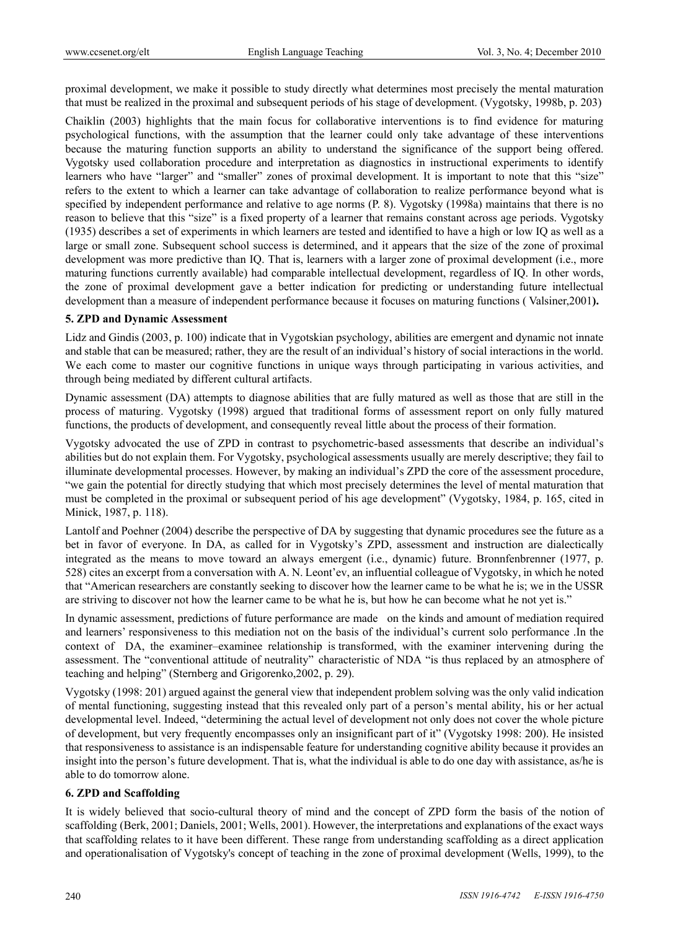proximal development, we make it possible to study directly what determines most precisely the mental maturation that must be realized in the proximal and subsequent periods of his stage of development. (Vygotsky, 1998b, p. 203)

Chaiklin (2003) highlights that the main focus for collaborative interventions is to find evidence for maturing psychological functions, with the assumption that the learner could only take advantage of these interventions because the maturing function supports an ability to understand the significance of the support being offered. Vygotsky used collaboration procedure and interpretation as diagnostics in instructional experiments to identify learners who have "larger" and "smaller" zones of proximal development. It is important to note that this "size" refers to the extent to which a learner can take advantage of collaboration to realize performance beyond what is specified by independent performance and relative to age norms (P. 8). Vygotsky (1998a) maintains that there is no reason to believe that this "size" is a fixed property of a learner that remains constant across age periods. Vygotsky (1935) describes a set of experiments in which learners are tested and identified to have a high or low IQ as well as a large or small zone. Subsequent school success is determined, and it appears that the size of the zone of proximal development was more predictive than IQ. That is, learners with a larger zone of proximal development (i.e., more maturing functions currently available) had comparable intellectual development, regardless of IQ. In other words, the zone of proximal development gave a better indication for predicting or understanding future intellectual development than a measure of independent performance because it focuses on maturing functions ( Valsiner,2001**).** 

# **5. ZPD and Dynamic Assessment**

Lidz and Gindis (2003, p. 100) indicate that in Vygotskian psychology, abilities are emergent and dynamic not innate and stable that can be measured; rather, they are the result of an individual's history of social interactions in the world. We each come to master our cognitive functions in unique ways through participating in various activities, and through being mediated by different cultural artifacts.

Dynamic assessment (DA) attempts to diagnose abilities that are fully matured as well as those that are still in the process of maturing. Vygotsky (1998) argued that traditional forms of assessment report on only fully matured functions, the products of development, and consequently reveal little about the process of their formation.

Vygotsky advocated the use of ZPD in contrast to psychometric-based assessments that describe an individual's abilities but do not explain them. For Vygotsky, psychological assessments usually are merely descriptive; they fail to illuminate developmental processes. However, by making an individual's ZPD the core of the assessment procedure, "we gain the potential for directly studying that which most precisely determines the level of mental maturation that must be completed in the proximal or subsequent period of his age development" (Vygotsky, 1984, p. 165, cited in Minick, 1987, p. 118).

Lantolf and Poehner (2004) describe the perspective of DA by suggesting that dynamic procedures see the future as a bet in favor of everyone. In DA, as called for in Vygotsky's ZPD, assessment and instruction are dialectically integrated as the means to move toward an always emergent (i.e., dynamic) future. Bronnfenbrenner (1977, p. 528) cites an excerpt from a conversation with A. N. Leont'ev, an influential colleague of Vygotsky, in which he noted that "American researchers are constantly seeking to discover how the learner came to be what he is; we in the USSR are striving to discover not how the learner came to be what he is, but how he can become what he not yet is."

In dynamic assessment, predictions of future performance are made on the kinds and amount of mediation required and learners' responsiveness to this mediation not on the basis of the individual's current solo performance .In the context of DA, the examiner–examinee relationship is transformed, with the examiner intervening during the assessment. The "conventional attitude of neutrality" characteristic of NDA "is thus replaced by an atmosphere of teaching and helping" (Sternberg and Grigorenko,2002, p. 29).

Vygotsky (1998: 201) argued against the general view that independent problem solving was the only valid indication of mental functioning, suggesting instead that this revealed only part of a person's mental ability, his or her actual developmental level. Indeed, "determining the actual level of development not only does not cover the whole picture of development, but very frequently encompasses only an insignificant part of it" (Vygotsky 1998: 200). He insisted that responsiveness to assistance is an indispensable feature for understanding cognitive ability because it provides an insight into the person's future development. That is, what the individual is able to do one day with assistance, as/he is able to do tomorrow alone.

# **6. ZPD and Scaffolding**

It is widely believed that socio-cultural theory of mind and the concept of ZPD form the basis of the notion of scaffolding (Berk, 2001; Daniels, 2001; Wells, 2001). However, the interpretations and explanations of the exact ways that scaffolding relates to it have been different. These range from understanding scaffolding as a direct application and operationalisation of Vygotsky's concept of teaching in the zone of proximal development (Wells, 1999), to the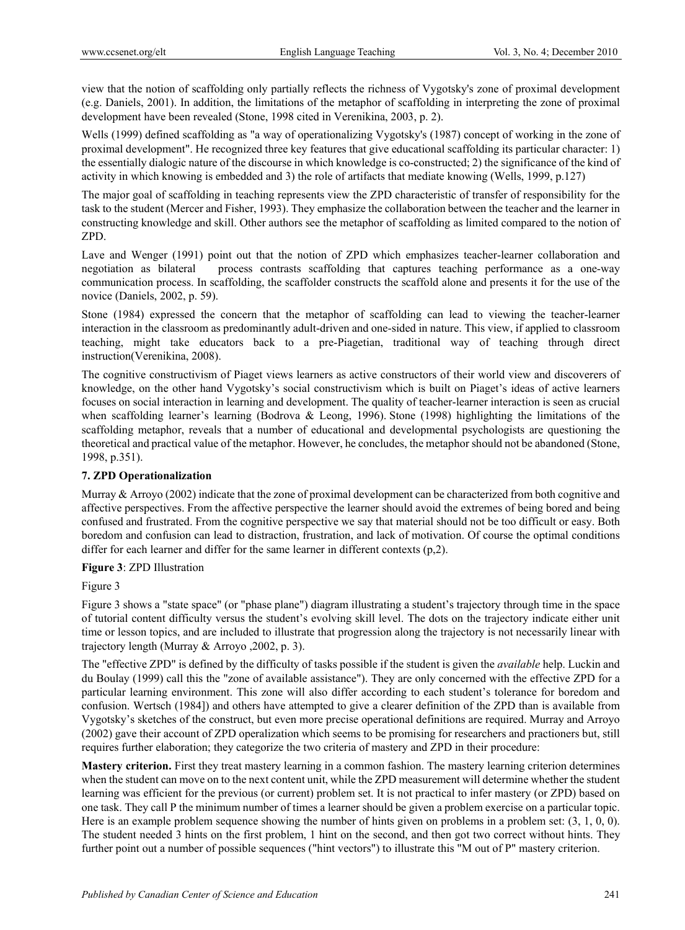view that the notion of scaffolding only partially reflects the richness of Vygotsky's zone of proximal development (e.g. Daniels, 2001). In addition, the limitations of the metaphor of scaffolding in interpreting the zone of proximal development have been revealed (Stone, 1998 cited in Verenikina, 2003, p. 2).

Wells (1999) defined scaffolding as "a way of operationalizing Vygotsky's (1987) concept of working in the zone of proximal development". He recognized three key features that give educational scaffolding its particular character: 1) the essentially dialogic nature of the discourse in which knowledge is co-constructed; 2) the significance of the kind of activity in which knowing is embedded and 3) the role of artifacts that mediate knowing (Wells, 1999, p.127)

The major goal of scaffolding in teaching represents view the ZPD characteristic of transfer of responsibility for the task to the student (Mercer and Fisher, 1993). They emphasize the collaboration between the teacher and the learner in constructing knowledge and skill. Other authors see the metaphor of scaffolding as limited compared to the notion of ZPD.

Lave and Wenger (1991) point out that the notion of ZPD which emphasizes teacher-learner collaboration and negotiation as bilateral process contrasts scaffolding that captures teaching performance as a one-way communication process. In scaffolding, the scaffolder constructs the scaffold alone and presents it for the use of the novice (Daniels, 2002, p. 59).

Stone (1984) expressed the concern that the metaphor of scaffolding can lead to viewing the teacher-learner interaction in the classroom as predominantly adult-driven and one-sided in nature. This view, if applied to classroom teaching, might take educators back to a pre-Piagetian, traditional way of teaching through direct instruction(Verenikina, 2008).

The cognitive constructivism of Piaget views learners as active constructors of their world view and discoverers of knowledge, on the other hand Vygotsky's social constructivism which is built on Piaget's ideas of active learners focuses on social interaction in learning and development. The quality of teacher-learner interaction is seen as crucial when scaffolding learner's learning (Bodrova & Leong, 1996). Stone (1998) highlighting the limitations of the scaffolding metaphor, reveals that a number of educational and developmental psychologists are questioning the theoretical and practical value of the metaphor. However, he concludes, the metaphor should not be abandoned (Stone, 1998, p.351).

# **7. ZPD Operationalization**

Murray & Arroyo (2002) indicate that the zone of proximal development can be characterized from both cognitive and affective perspectives. From the affective perspective the learner should avoid the extremes of being bored and being confused and frustrated. From the cognitive perspective we say that material should not be too difficult or easy. Both boredom and confusion can lead to distraction, frustration, and lack of motivation. Of course the optimal conditions differ for each learner and differ for the same learner in different contexts (p,2).

# **Figure 3**: ZPD Illustration

# Figure 3

Figure 3 shows a "state space" (or "phase plane") diagram illustrating a student's trajectory through time in the space of tutorial content difficulty versus the student's evolving skill level. The dots on the trajectory indicate either unit time or lesson topics, and are included to illustrate that progression along the trajectory is not necessarily linear with trajectory length (Murray & Arroyo ,2002, p. 3).

The "effective ZPD" is defined by the difficulty of tasks possible if the student is given the *available* help. Luckin and du Boulay (1999) call this the "zone of available assistance"). They are only concerned with the effective ZPD for a particular learning environment. This zone will also differ according to each student's tolerance for boredom and confusion. Wertsch (1984]) and others have attempted to give a clearer definition of the ZPD than is available from Vygotsky's sketches of the construct, but even more precise operational definitions are required. Murray and Arroyo (2002) gave their account of ZPD operalization which seems to be promising for researchers and practioners but, still requires further elaboration; they categorize the two criteria of mastery and ZPD in their procedure:

**Mastery criterion.** First they treat mastery learning in a common fashion. The mastery learning criterion determines when the student can move on to the next content unit, while the ZPD measurement will determine whether the student learning was efficient for the previous (or current) problem set. It is not practical to infer mastery (or ZPD) based on one task. They call P the minimum number of times a learner should be given a problem exercise on a particular topic. Here is an example problem sequence showing the number of hints given on problems in a problem set:  $(3, 1, 0, 0)$ . The student needed 3 hints on the first problem, 1 hint on the second, and then got two correct without hints. They further point out a number of possible sequences ("hint vectors") to illustrate this "M out of P" mastery criterion.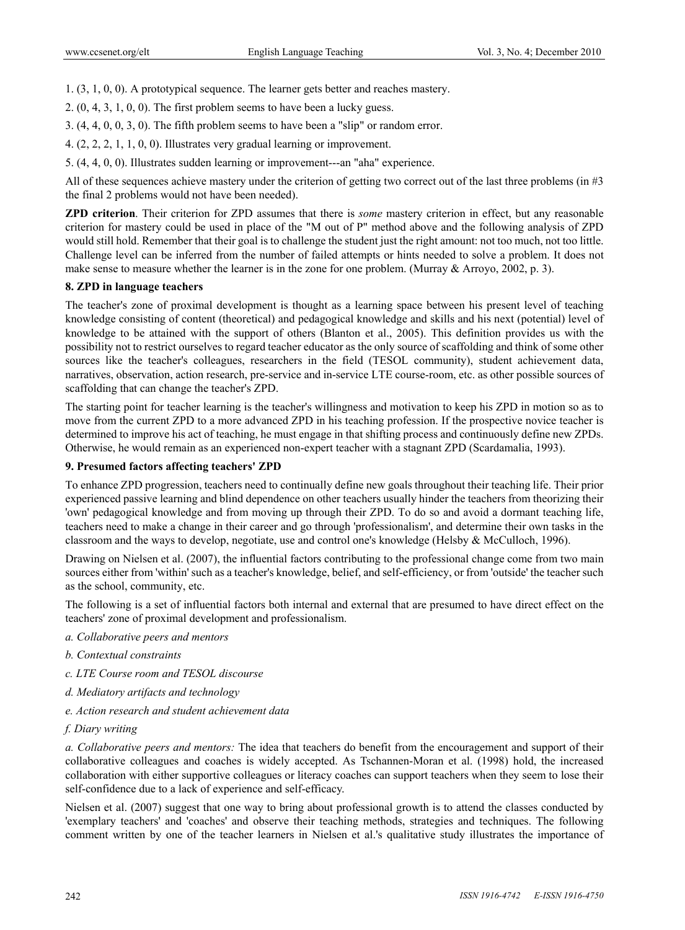1. (3, 1, 0, 0). A prototypical sequence. The learner gets better and reaches mastery.

2.  $(0, 4, 3, 1, 0, 0)$ . The first problem seems to have been a lucky guess.

3. (4, 4, 0, 0, 3, 0). The fifth problem seems to have been a "slip" or random error.

4. (2, 2, 2, 1, 1, 0, 0). Illustrates very gradual learning or improvement.

5. (4, 4, 0, 0). Illustrates sudden learning or improvement---an "aha" experience.

All of these sequences achieve mastery under the criterion of getting two correct out of the last three problems (in #3 the final 2 problems would not have been needed).

**ZPD criterion**. Their criterion for ZPD assumes that there is *some* mastery criterion in effect, but any reasonable criterion for mastery could be used in place of the "M out of P" method above and the following analysis of ZPD would still hold. Remember that their goal is to challenge the student just the right amount: not too much, not too little. Challenge level can be inferred from the number of failed attempts or hints needed to solve a problem. It does not make sense to measure whether the learner is in the zone for one problem. (Murray & Arroyo, 2002, p. 3).

# **8. ZPD in language teachers**

The teacher's zone of proximal development is thought as a learning space between his present level of teaching knowledge consisting of content (theoretical) and pedagogical knowledge and skills and his next (potential) level of knowledge to be attained with the support of others (Blanton et al., 2005). This definition provides us with the possibility not to restrict ourselves to regard teacher educator as the only source of scaffolding and think of some other sources like the teacher's colleagues, researchers in the field (TESOL community), student achievement data, narratives, observation, action research, pre-service and in-service LTE course-room, etc. as other possible sources of scaffolding that can change the teacher's ZPD.

The starting point for teacher learning is the teacher's willingness and motivation to keep his ZPD in motion so as to move from the current ZPD to a more advanced ZPD in his teaching profession. If the prospective novice teacher is determined to improve his act of teaching, he must engage in that shifting process and continuously define new ZPDs. Otherwise, he would remain as an experienced non-expert teacher with a stagnant ZPD (Scardamalia, 1993).

# **9. Presumed factors affecting teachers' ZPD**

To enhance ZPD progression, teachers need to continually define new goals throughout their teaching life. Their prior experienced passive learning and blind dependence on other teachers usually hinder the teachers from theorizing their 'own' pedagogical knowledge and from moving up through their ZPD. To do so and avoid a dormant teaching life, teachers need to make a change in their career and go through 'professionalism', and determine their own tasks in the classroom and the ways to develop, negotiate, use and control one's knowledge (Helsby & McCulloch, 1996).

Drawing on Nielsen et al. (2007), the influential factors contributing to the professional change come from two main sources either from 'within' such as a teacher's knowledge, belief, and self-efficiency, or from 'outside' the teacher such as the school, community, etc.

The following is a set of influential factors both internal and external that are presumed to have direct effect on the teachers' zone of proximal development and professionalism.

- *a. Collaborative peers and mentors*
- *b. Contextual constraints*
- *c. LTE Course room and TESOL discourse*
- *d. Mediatory artifacts and technology*
- *e. Action research and student achievement data*

# *f. Diary writing*

*a. Collaborative peers and mentors:* The idea that teachers do benefit from the encouragement and support of their collaborative colleagues and coaches is widely accepted. As Tschannen-Moran et al. (1998) hold, the increased collaboration with either supportive colleagues or literacy coaches can support teachers when they seem to lose their self-confidence due to a lack of experience and self-efficacy.

Nielsen et al. (2007) suggest that one way to bring about professional growth is to attend the classes conducted by 'exemplary teachers' and 'coaches' and observe their teaching methods, strategies and techniques. The following comment written by one of the teacher learners in Nielsen et al.'s qualitative study illustrates the importance of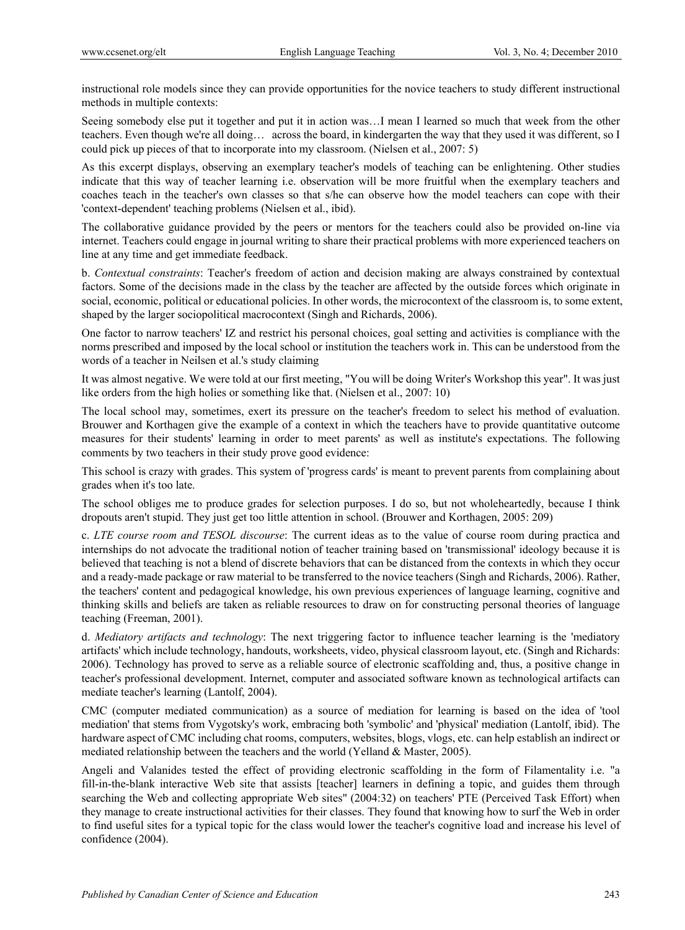instructional role models since they can provide opportunities for the novice teachers to study different instructional methods in multiple contexts:

Seeing somebody else put it together and put it in action was…I mean I learned so much that week from the other teachers. Even though we're all doing… across the board, in kindergarten the way that they used it was different, so I could pick up pieces of that to incorporate into my classroom. (Nielsen et al., 2007: 5)

As this excerpt displays, observing an exemplary teacher's models of teaching can be enlightening. Other studies indicate that this way of teacher learning i.e. observation will be more fruitful when the exemplary teachers and coaches teach in the teacher's own classes so that s/he can observe how the model teachers can cope with their 'context-dependent' teaching problems (Nielsen et al., ibid).

The collaborative guidance provided by the peers or mentors for the teachers could also be provided on-line via internet. Teachers could engage in journal writing to share their practical problems with more experienced teachers on line at any time and get immediate feedback.

b. *Contextual constraints*: Teacher's freedom of action and decision making are always constrained by contextual factors. Some of the decisions made in the class by the teacher are affected by the outside forces which originate in social, economic, political or educational policies. In other words, the microcontext of the classroom is, to some extent, shaped by the larger sociopolitical macrocontext (Singh and Richards, 2006).

One factor to narrow teachers' IZ and restrict his personal choices, goal setting and activities is compliance with the norms prescribed and imposed by the local school or institution the teachers work in. This can be understood from the words of a teacher in Neilsen et al.'s study claiming

It was almost negative. We were told at our first meeting, "You will be doing Writer's Workshop this year". It was just like orders from the high holies or something like that. (Nielsen et al., 2007: 10)

The local school may, sometimes, exert its pressure on the teacher's freedom to select his method of evaluation. Brouwer and Korthagen give the example of a context in which the teachers have to provide quantitative outcome measures for their students' learning in order to meet parents' as well as institute's expectations. The following comments by two teachers in their study prove good evidence:

This school is crazy with grades. This system of 'progress cards' is meant to prevent parents from complaining about grades when it's too late.

The school obliges me to produce grades for selection purposes. I do so, but not wholeheartedly, because I think dropouts aren't stupid. They just get too little attention in school. (Brouwer and Korthagen, 2005: 209)

c. *LTE course room and TESOL discourse*: The current ideas as to the value of course room during practica and internships do not advocate the traditional notion of teacher training based on 'transmissional' ideology because it is believed that teaching is not a blend of discrete behaviors that can be distanced from the contexts in which they occur and a ready-made package or raw material to be transferred to the novice teachers (Singh and Richards, 2006). Rather, the teachers' content and pedagogical knowledge, his own previous experiences of language learning, cognitive and thinking skills and beliefs are taken as reliable resources to draw on for constructing personal theories of language teaching (Freeman, 2001).

d. *Mediatory artifacts and technology*: The next triggering factor to influence teacher learning is the 'mediatory artifacts' which include technology, handouts, worksheets, video, physical classroom layout, etc. (Singh and Richards: 2006). Technology has proved to serve as a reliable source of electronic scaffolding and, thus, a positive change in teacher's professional development. Internet, computer and associated software known as technological artifacts can mediate teacher's learning (Lantolf, 2004).

CMC (computer mediated communication) as a source of mediation for learning is based on the idea of 'tool mediation' that stems from Vygotsky's work, embracing both 'symbolic' and 'physical' mediation (Lantolf, ibid). The hardware aspect of CMC including chat rooms, computers, websites, blogs, vlogs, etc. can help establish an indirect or mediated relationship between the teachers and the world (Yelland & Master, 2005).

Angeli and Valanides tested the effect of providing electronic scaffolding in the form of Filamentality i.e. "a fill-in-the-blank interactive Web site that assists [teacher] learners in defining a topic, and guides them through searching the Web and collecting appropriate Web sites" (2004:32) on teachers' PTE (Perceived Task Effort) when they manage to create instructional activities for their classes. They found that knowing how to surf the Web in order to find useful sites for a typical topic for the class would lower the teacher's cognitive load and increase his level of confidence (2004).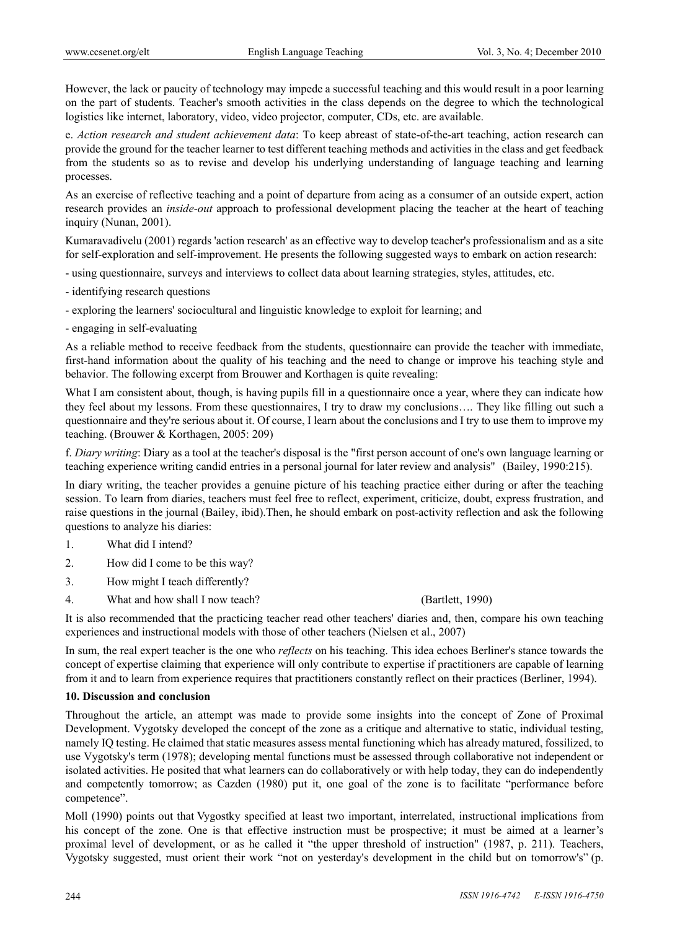However, the lack or paucity of technology may impede a successful teaching and this would result in a poor learning on the part of students. Teacher's smooth activities in the class depends on the degree to which the technological logistics like internet, laboratory, video, video projector, computer, CDs, etc. are available.

e. *Action research and student achievement data*: To keep abreast of state-of-the-art teaching, action research can provide the ground for the teacher learner to test different teaching methods and activities in the class and get feedback from the students so as to revise and develop his underlying understanding of language teaching and learning processes.

As an exercise of reflective teaching and a point of departure from acing as a consumer of an outside expert, action research provides an *inside-out* approach to professional development placing the teacher at the heart of teaching inquiry (Nunan, 2001).

Kumaravadivelu (2001) regards 'action research' as an effective way to develop teacher's professionalism and as a site for self-exploration and self-improvement. He presents the following suggested ways to embark on action research:

- using questionnaire, surveys and interviews to collect data about learning strategies, styles, attitudes, etc.
- identifying research questions
- exploring the learners' sociocultural and linguistic knowledge to exploit for learning; and
- engaging in self-evaluating

As a reliable method to receive feedback from the students, questionnaire can provide the teacher with immediate, first-hand information about the quality of his teaching and the need to change or improve his teaching style and behavior. The following excerpt from Brouwer and Korthagen is quite revealing:

What I am consistent about, though, is having pupils fill in a questionnaire once a year, where they can indicate how they feel about my lessons. From these questionnaires, I try to draw my conclusions…. They like filling out such a questionnaire and they're serious about it. Of course, I learn about the conclusions and I try to use them to improve my teaching. (Brouwer & Korthagen, 2005: 209)

f. *Diary writing*: Diary as a tool at the teacher's disposal is the "first person account of one's own language learning or teaching experience writing candid entries in a personal journal for later review and analysis" (Bailey, 1990:215).

In diary writing, the teacher provides a genuine picture of his teaching practice either during or after the teaching session. To learn from diaries, teachers must feel free to reflect, experiment, criticize, doubt, express frustration, and raise questions in the journal (Bailey, ibid).Then, he should embark on post-activity reflection and ask the following questions to analyze his diaries:

- 1. What did I intend?
- 2. How did I come to be this way?
- 3. How might I teach differently?
- 4. What and how shall I now teach? (Bartlett, 1990)

It is also recommended that the practicing teacher read other teachers' diaries and, then, compare his own teaching experiences and instructional models with those of other teachers (Nielsen et al., 2007)

In sum, the real expert teacher is the one who *reflects* on his teaching. This idea echoes Berliner's stance towards the concept of expertise claiming that experience will only contribute to expertise if practitioners are capable of learning from it and to learn from experience requires that practitioners constantly reflect on their practices (Berliner, 1994).

# **10. Discussion and conclusion**

Throughout the article, an attempt was made to provide some insights into the concept of Zone of Proximal Development. Vygotsky developed the concept of the zone as a critique and alternative to static, individual testing, namely IQ testing. He claimed that static measures assess mental functioning which has already matured, fossilized, to use Vygotsky's term (1978); developing mental functions must be assessed through collaborative not independent or isolated activities. He posited that what learners can do collaboratively or with help today, they can do independently and competently tomorrow; as Cazden (1980) put it, one goal of the zone is to facilitate "performance before competence".

Moll (1990) points out that Vygostky specified at least two important, interrelated, instructional implications from his concept of the zone. One is that effective instruction must be prospective; it must be aimed at a learner's proximal level of development, or as he called it "the upper threshold of instruction" (1987, p. 211). Teachers, Vygotsky suggested, must orient their work "not on yesterday's development in the child but on tomorrow's" (p.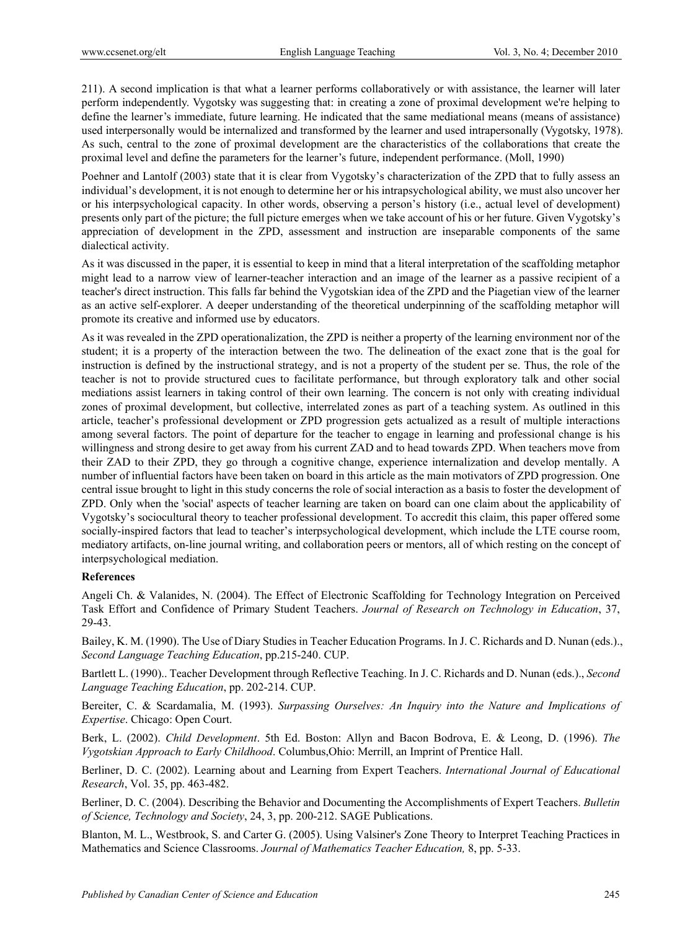211). A second implication is that what a learner performs collaboratively or with assistance, the learner will later perform independently. Vygotsky was suggesting that: in creating a zone of proximal development we're helping to define the learner's immediate, future learning. He indicated that the same mediational means (means of assistance) used interpersonally would be internalized and transformed by the learner and used intrapersonally (Vygotsky, 1978). As such, central to the zone of proximal development are the characteristics of the collaborations that create the proximal level and define the parameters for the learner's future, independent performance. (Moll, 1990)

Poehner and Lantolf (2003) state that it is clear from Vygotsky's characterization of the ZPD that to fully assess an individual's development, it is not enough to determine her or his intrapsychological ability, we must also uncover her or his interpsychological capacity. In other words, observing a person's history (i.e., actual level of development) presents only part of the picture; the full picture emerges when we take account of his or her future. Given Vygotsky's appreciation of development in the ZPD, assessment and instruction are inseparable components of the same dialectical activity.

As it was discussed in the paper, it is essential to keep in mind that a literal interpretation of the scaffolding metaphor might lead to a narrow view of learner-teacher interaction and an image of the learner as a passive recipient of a teacher's direct instruction. This falls far behind the Vygotskian idea of the ZPD and the Piagetian view of the learner as an active self-explorer. A deeper understanding of the theoretical underpinning of the scaffolding metaphor will promote its creative and informed use by educators.

As it was revealed in the ZPD operationalization, the ZPD is neither a property of the learning environment nor of the student; it is a property of the interaction between the two. The delineation of the exact zone that is the goal for instruction is defined by the instructional strategy, and is not a property of the student per se. Thus, the role of the teacher is not to provide structured cues to facilitate performance, but through exploratory talk and other social mediations assist learners in taking control of their own learning. The concern is not only with creating individual zones of proximal development, but collective, interrelated zones as part of a teaching system. As outlined in this article, teacher's professional development or ZPD progression gets actualized as a result of multiple interactions among several factors. The point of departure for the teacher to engage in learning and professional change is his willingness and strong desire to get away from his current ZAD and to head towards ZPD. When teachers move from their ZAD to their ZPD, they go through a cognitive change, experience internalization and develop mentally. A number of influential factors have been taken on board in this article as the main motivators of ZPD progression. One central issue brought to light in this study concerns the role of social interaction as a basis to foster the development of ZPD. Only when the 'social' aspects of teacher learning are taken on board can one claim about the applicability of Vygotsky's sociocultural theory to teacher professional development. To accredit this claim, this paper offered some socially-inspired factors that lead to teacher's interpsychological development, which include the LTE course room, mediatory artifacts, on-line journal writing, and collaboration peers or mentors, all of which resting on the concept of interpsychological mediation.

# **References**

Angeli Ch. & Valanides, N. (2004). The Effect of Electronic Scaffolding for Technology Integration on Perceived Task Effort and Confidence of Primary Student Teachers. *Journal of Research on Technology in Education*, 37, 29-43.

Bailey, K. M. (1990). The Use of Diary Studies in Teacher Education Programs. In J. C. Richards and D. Nunan (eds.)., *Second Language Teaching Education*, pp.215-240. CUP.

Bartlett L. (1990).. Teacher Development through Reflective Teaching. In J. C. Richards and D. Nunan (eds.)., *Second Language Teaching Education*, pp. 202-214. CUP.

Bereiter, C. & Scardamalia, M. (1993). *Surpassing Ourselves: An Inquiry into the Nature and Implications of Expertise*. Chicago: Open Court.

Berk, L. (2002). *Child Development*. 5th Ed. Boston: Allyn and Bacon Bodrova, E. & Leong, D. (1996). *The Vygotskian Approach to Early Childhood*. Columbus,Ohio: Merrill, an Imprint of Prentice Hall.

Berliner, D. C. (2002). Learning about and Learning from Expert Teachers. *International Journal of Educational Research*, Vol. 35, pp. 463-482.

Berliner, D. C. (2004). Describing the Behavior and Documenting the Accomplishments of Expert Teachers. *Bulletin of Science, Technology and Society*, 24, 3, pp. 200-212. SAGE Publications.

Blanton, M. L., Westbrook, S. and Carter G. (2005). Using Valsiner's Zone Theory to Interpret Teaching Practices in Mathematics and Science Classrooms. *Journal of Mathematics Teacher Education,* 8, pp. 5-33.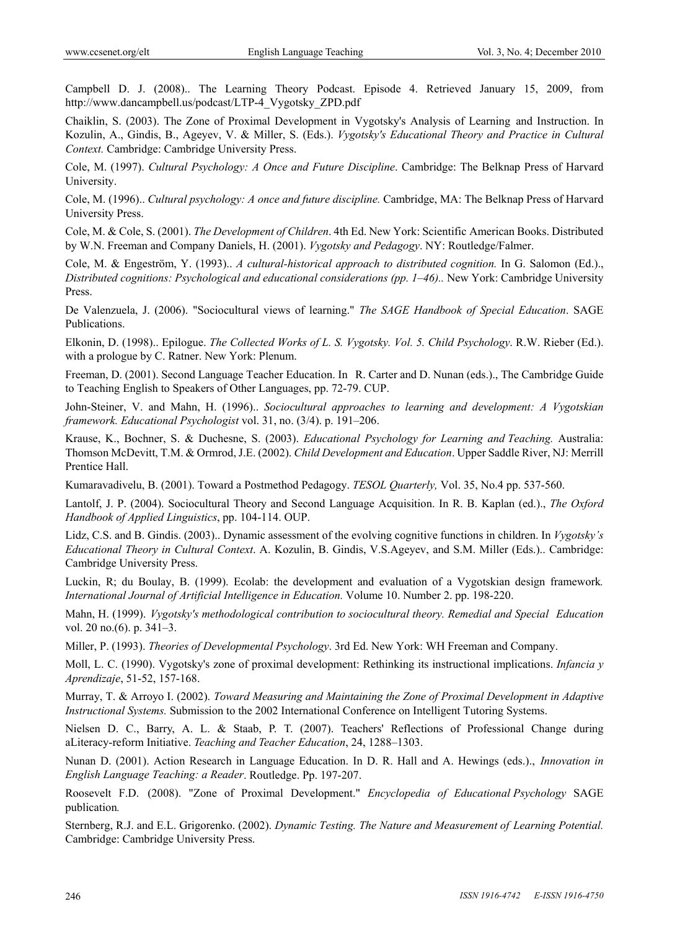Campbell D. J. (2008).. The Learning Theory Podcast. Episode 4. Retrieved January 15, 2009, from http://www.dancampbell.us/podcast/LTP-4\_Vygotsky\_ZPD.pdf

Chaiklin, S. (2003). The Zone of Proximal Development in Vygotsky's Analysis of Learning and Instruction. In Kozulin, A., Gindis, B., Ageyev, V. & Miller, S. (Eds.). *Vygotsky's Educational Theory and Practice in Cultural Context.* Cambridge: Cambridge University Press.

Cole, M. (1997). *Cultural Psychology: A Once and Future Discipline*. Cambridge: The Belknap Press of Harvard University.

Cole, M. (1996).. *Cultural psychology: A once and future discipline.* Cambridge, MA: The Belknap Press of Harvard University Press.

Cole, M. & Cole, S. (2001). *The Development of Children*. 4th Ed. New York: Scientific American Books. Distributed by W.N. Freeman and Company Daniels, H. (2001). *Vygotsky and Pedagogy*. NY: Routledge/Falmer.

Cole, M. & Engeström, Y. (1993).. *A cultural-historical approach to distributed cognition.* In G. Salomon (Ed.)., *Distributed cognitions: Psychological and educational considerations (pp. 1–46).. New York: Cambridge University* Press.

De Valenzuela, J. (2006). "Sociocultural views of learning." *The SAGE Handbook of Special Education*. SAGE Publications.

Elkonin, D. (1998).. Epilogue. *The Collected Works of L. S. Vygotsky. Vol. 5. Child Psychology*. R.W. Rieber (Ed.). with a prologue by C. Ratner. New York: Plenum.

Freeman, D. (2001). Second Language Teacher Education. In R. Carter and D. Nunan (eds.)., The Cambridge Guide to Teaching English to Speakers of Other Languages, pp. 72-79. CUP.

John-Steiner, V. and Mahn, H. (1996).. *Sociocultural approaches to learning and development: A Vygotskian framework. Educational Psychologist* vol. 31, no. (3/4). p. 191–206.

Krause, K., Bochner, S. & Duchesne, S. (2003). *Educational Psychology for Learning and Teaching.* Australia: Thomson McDevitt, T.M. & Ormrod, J.E. (2002). *Child Development and Education*. Upper Saddle River, NJ: Merrill Prentice Hall.

Kumaravadivelu, B. (2001). Toward a Postmethod Pedagogy. *TESOL Quarterly,* Vol. 35, No.4 pp. 537-560.

Lantolf, J. P. (2004). Sociocultural Theory and Second Language Acquisition. In R. B. Kaplan (ed.)., *The Oxford Handbook of Applied Linguistics*, pp. 104-114. OUP.

Lidz, C.S. and B. Gindis. (2003).. Dynamic assessment of the evolving cognitive functions in children. In *Vygotsky's Educational Theory in Cultural Context*. A. Kozulin, B. Gindis, V.S.Ageyev, and S.M. Miller (Eds.).. Cambridge: Cambridge University Press.

Luckin, R; du Boulay, B. (1999). Ecolab: the development and evaluation of a Vygotskian design framework*. International Journal of Artificial Intelligence in Education.* Volume 10. Number 2. pp. 198-220.

Mahn, H. (1999). *Vygotsky's methodological contribution to sociocultural theory. Remedial and Special Education*  vol. 20 no. (6). p. 341–3.

Miller, P. (1993). *Theories of Developmental Psychology*. 3rd Ed. New York: WH Freeman and Company.

Moll, L. C. (1990). Vygotsky's zone of proximal development: Rethinking its instructional implications. *Infancia y Aprendizaje*, 51-52, 157-168.

Murray, T. & Arroyo I. (2002). *Toward Measuring and Maintaining the Zone of Proximal Development in Adaptive Instructional Systems.* Submission to the 2002 International Conference on Intelligent Tutoring Systems.

Nielsen D. C., Barry, A. L. & Staab, P. T. (2007). Teachers' Reflections of Professional Change during aLiteracy-reform Initiative. *Teaching and Teacher Education*, 24, 1288–1303.

Nunan D. (2001). Action Research in Language Education. In D. R. Hall and A. Hewings (eds.)., *Innovation in English Language Teaching: a Reader*. Routledge. Pp. 197-207.

Roosevelt F.D. (2008). "Zone of Proximal Development." *Encyclopedia of Educational Psychology* SAGE publication*.*

Sternberg, R.J. and E.L. Grigorenko. (2002). *Dynamic Testing. The Nature and Measurement of Learning Potential.*  Cambridge: Cambridge University Press.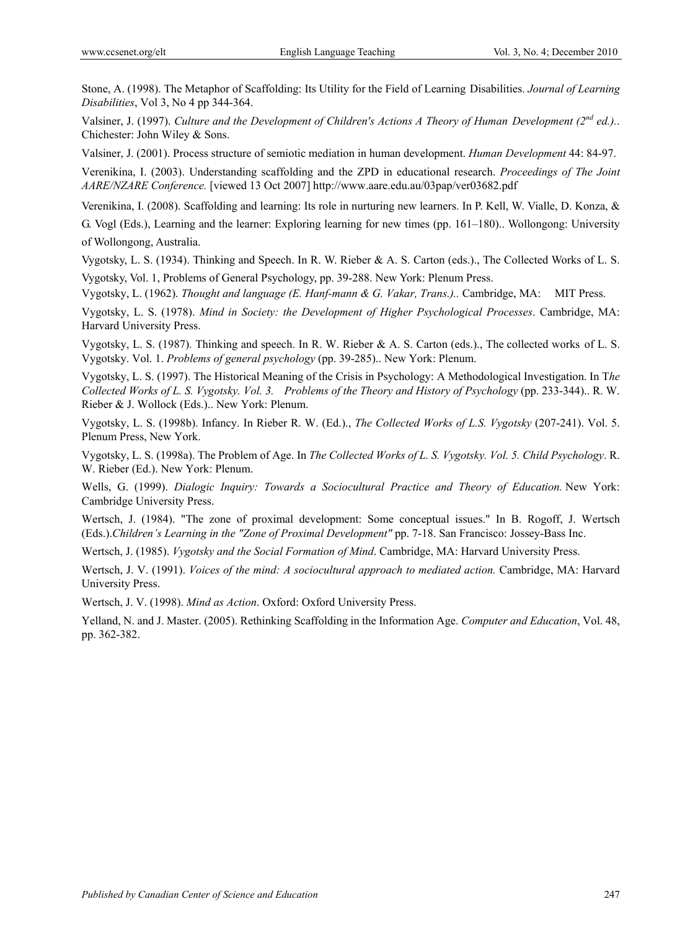Stone, A. (1998). The Metaphor of Scaffolding: Its Utility for the Field of Learning Disabilities. *Journal of Learning Disabilities*, Vol 3, No 4 pp 344-364.

Valsiner, J. (1997). *Culture and the Development of Children's Actions A Theory of Human Development (2nd ed.).*. Chichester: John Wiley & Sons.

Valsiner, J. (2001). Process structure of semiotic mediation in human development. *Human Development* 44: 84-97.

Verenikina, I. (2003). Understanding scaffolding and the ZPD in educational research. *Proceedings of The Joint AARE/NZARE Conference.* [viewed 13 Oct 2007] http://www.aare.edu.au/03pap/ver03682.pdf

Verenikina, I. (2008). Scaffolding and learning: Its role in nurturing new learners. In P. Kell, W. Vialle, D. Konza, &

G. Vogl (Eds.), Learning and the learner: Exploring learning for new times (pp. 161–180).. Wollongong: University of Wollongong, Australia.

Vygotsky, L. S. (1934). Thinking and Speech. In R. W. Rieber & A. S. Carton (eds.)., The Collected Works of L. S.

Vygotsky, Vol. 1, Problems of General Psychology, pp. 39-288. New York: Plenum Press.

Vygotsky, L. (1962). *Thought and language (E. Hanf-mann & G. Vakar, Trans.)..* Cambridge, MA: MIT Press.

Vygotsky, L. S. (1978). *Mind in Society: the Development of Higher Psychological Processes*. Cambridge, MA: Harvard University Press.

Vygotsky, L. S. (1987). Thinking and speech. In R. W. Rieber & A. S. Carton (eds.)., The collected works of L. S. Vygotsky. Vol. 1. *Problems of general psychology* (pp. 39-285).. New York: Plenum.

Vygotsky, L. S. (1997). The Historical Meaning of the Crisis in Psychology: A Methodological Investigation. In T*he Collected Works of L. S. Vygotsky. Vol. 3. Problems of the Theory and History of Psychology* (pp. 233-344).. R. W. Rieber & J. Wollock (Eds.).. New York: Plenum.

Vygotsky, L. S. (1998b). Infancy. In Rieber R. W. (Ed.)., *The Collected Works of L.S. Vygotsky* (207-241). Vol. 5. Plenum Press, New York.

Vygotsky, L. S. (1998a). The Problem of Age. In *The Collected Works of L. S. Vygotsky. Vol. 5. Child Psychology*. R. W. Rieber (Ed.). New York: Plenum.

Wells, G. (1999). *Dialogic Inquiry: Towards a Sociocultural Practice and Theory of Education*. New York: Cambridge University Press.

Wertsch, J. (1984). "The zone of proximal development: Some conceptual issues." In B. Rogoff, J. Wertsch (Eds.).*Children's Learning in the "Zone of Proximal Development"* pp. 7-18. San Francisco: Jossey-Bass Inc.

Wertsch, J. (1985). *Vygotsky and the Social Formation of Mind*. Cambridge, MA: Harvard University Press.

Wertsch, J. V. (1991). *Voices of the mind: A sociocultural approach to mediated action*. Cambridge, MA: Harvard University Press.

Wertsch, J. V. (1998). *Mind as Action*. Oxford: Oxford University Press.

Yelland, N. and J. Master. (2005). Rethinking Scaffolding in the Information Age. *Computer and Education*, Vol. 48, pp. 362-382.